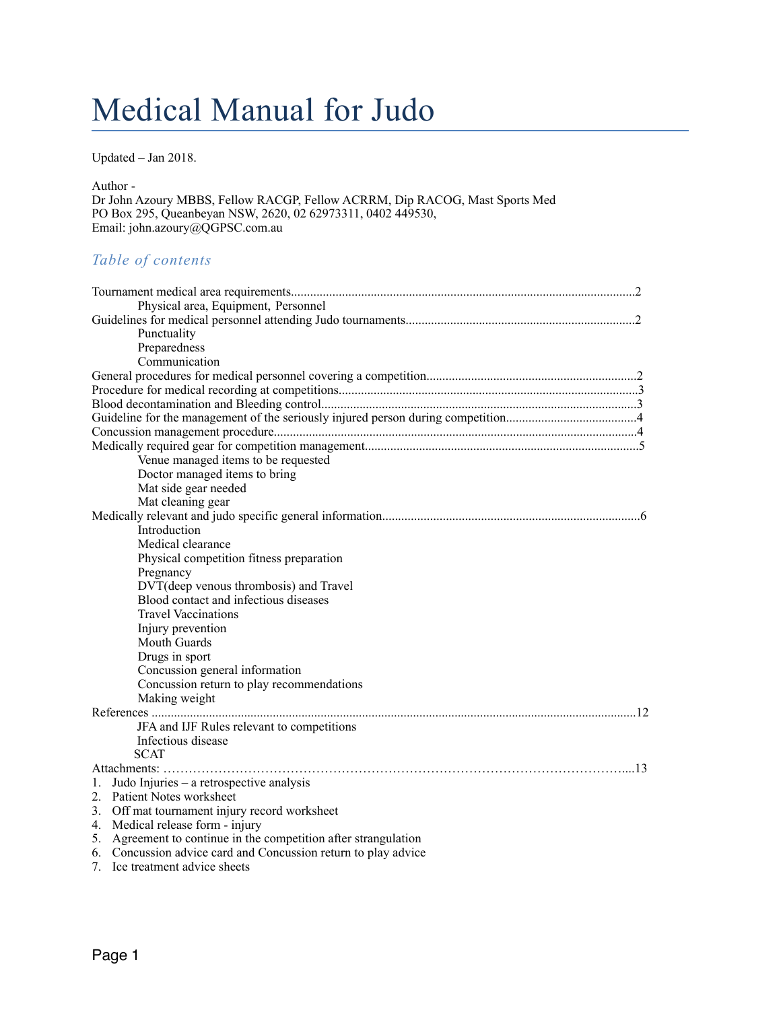# Medical Manual for Judo

Updated – Jan 2018.

Author -

Dr John Azoury MBBS, Fellow RACGP, Fellow ACRRM, Dip RACOG, Mast Sports Med PO Box 295, Queanbeyan NSW, 2620, 02 62973311, 0402 449530, Email: john.azoury@QGPSC.com.au

# *Table of contents*

| Physical area, Equipment, Personnel                             |  |
|-----------------------------------------------------------------|--|
|                                                                 |  |
| Punctuality                                                     |  |
| Preparedness                                                    |  |
| Communication                                                   |  |
|                                                                 |  |
|                                                                 |  |
|                                                                 |  |
|                                                                 |  |
|                                                                 |  |
|                                                                 |  |
| Venue managed items to be requested                             |  |
| Doctor managed items to bring                                   |  |
| Mat side gear needed                                            |  |
| Mat cleaning gear                                               |  |
|                                                                 |  |
| Introduction                                                    |  |
| Medical clearance                                               |  |
| Physical competition fitness preparation                        |  |
| Pregnancy                                                       |  |
| DVT(deep venous thrombosis) and Travel                          |  |
| Blood contact and infectious diseases                           |  |
| <b>Travel Vaccinations</b>                                      |  |
| Injury prevention                                               |  |
| <b>Mouth Guards</b>                                             |  |
| Drugs in sport                                                  |  |
| Concussion general information                                  |  |
| Concussion return to play recommendations                       |  |
| Making weight                                                   |  |
|                                                                 |  |
| JFA and IJF Rules relevant to competitions                      |  |
| Infectious disease                                              |  |
| <b>SCAT</b>                                                     |  |
|                                                                 |  |
| Judo Injuries – a retrospective analysis<br>$1_{-}$             |  |
| 2. Patient Notes worksheet                                      |  |
| 3. Off mat tournament injury record worksheet                   |  |
| 4. Medical release form - injury                                |  |
| 5. Agreement to continue in the competition after strangulation |  |
| 6. Concussion advice card and Concussion return to play advice  |  |
| 7. Ice treatment advice sheets                                  |  |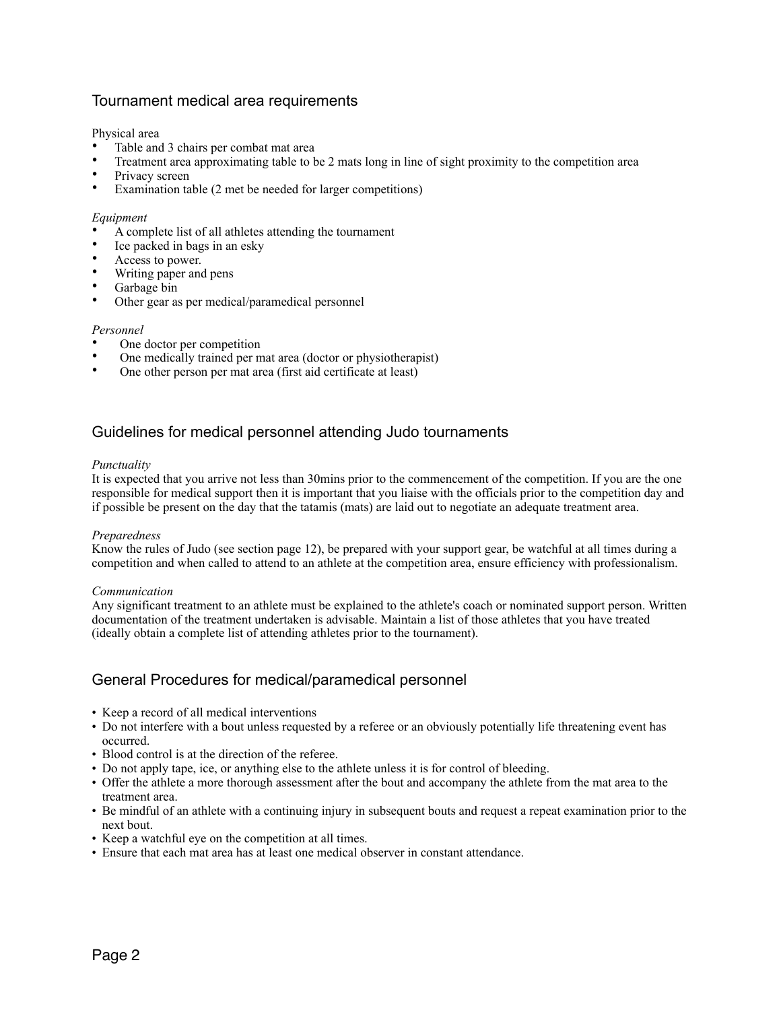# Tournament medical area requirements

Physical area

- Table and 3 chairs per combat mat area
- Treatment area approximating table to be 2 mats long in line of sight proximity to the competition area
- Privacy screen
- Examination table (2 met be needed for larger competitions)

## *Equipment*

- A complete list of all athletes attending the tournament
- Ice packed in bags in an esky
- Access to power.
- Writing paper and pens
- Garbage bin
- Other gear as per medical/paramedical personnel

## *Personnel*

- One doctor per competition
- One medically trained per mat area (doctor or physiotherapist)
- One other person per mat area (first aid certificate at least)

# Guidelines for medical personnel attending Judo tournaments

## *Punctuality*

It is expected that you arrive not less than 30mins prior to the commencement of the competition. If you are the one responsible for medical support then it is important that you liaise with the officials prior to the competition day and if possible be present on the day that the tatamis (mats) are laid out to negotiate an adequate treatment area.

## *Preparedness*

Know the rules of Judo (see section page 12), be prepared with your support gear, be watchful at all times during a competition and when called to attend to an athlete at the competition area, ensure efficiency with professionalism.

## *Communication*

Any significant treatment to an athlete must be explained to the athlete's coach or nominated support person. Written documentation of the treatment undertaken is advisable. Maintain a list of those athletes that you have treated (ideally obtain a complete list of attending athletes prior to the tournament).

# General Procedures for medical/paramedical personnel

- Keep a record of all medical interventions
- Do not interfere with a bout unless requested by a referee or an obviously potentially life threatening event has occurred.
- Blood control is at the direction of the referee.
- Do not apply tape, ice, or anything else to the athlete unless it is for control of bleeding.
- Offer the athlete a more thorough assessment after the bout and accompany the athlete from the mat area to the treatment area.
- Be mindful of an athlete with a continuing injury in subsequent bouts and request a repeat examination prior to the next bout.
- Keep a watchful eye on the competition at all times.
- Ensure that each mat area has at least one medical observer in constant attendance.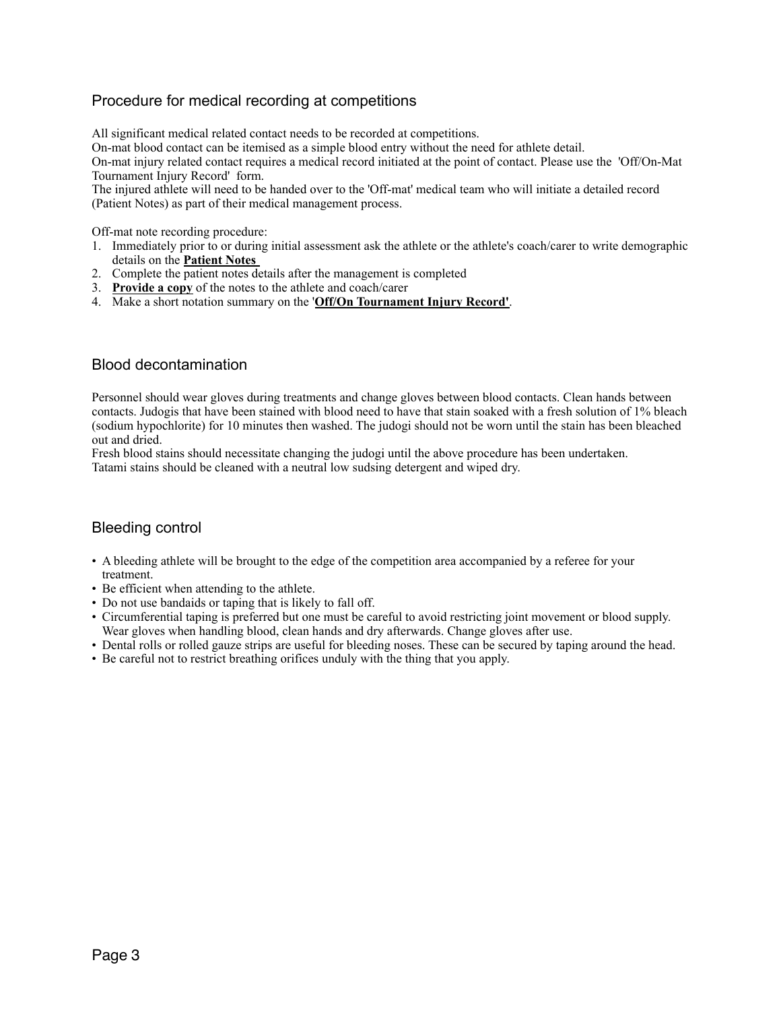# Procedure for medical recording at competitions

All significant medical related contact needs to be recorded at competitions.

On-mat blood contact can be itemised as a simple blood entry without the need for athlete detail.

On-mat injury related contact requires a medical record initiated at the point of contact. Please use the 'Off/On-Mat Tournament Injury Record' form.

The injured athlete will need to be handed over to the 'Off-mat' medical team who will initiate a detailed record (Patient Notes) as part of their medical management process.

Off-mat note recording procedure:

- 1. Immediately prior to or during initial assessment ask the athlete or the athlete's coach/carer to write demographic details on the **Patient Notes**
- 2. Complete the patient notes details after the management is completed
- 3. **Provide a copy** of the notes to the athlete and coach/carer
- 4. Make a short notation summary on the '**Off/On Tournament Injury Record'**.

## Blood decontamination

Personnel should wear gloves during treatments and change gloves between blood contacts. Clean hands between contacts. Judogis that have been stained with blood need to have that stain soaked with a fresh solution of 1% bleach (sodium hypochlorite) for 10 minutes then washed. The judogi should not be worn until the stain has been bleached out and dried.

Fresh blood stains should necessitate changing the judogi until the above procedure has been undertaken. Tatami stains should be cleaned with a neutral low sudsing detergent and wiped dry.

## Bleeding control

- A bleeding athlete will be brought to the edge of the competition area accompanied by a referee for your treatment.
- Be efficient when attending to the athlete.
- Do not use bandaids or taping that is likely to fall off.
- Circumferential taping is preferred but one must be careful to avoid restricting joint movement or blood supply. Wear gloves when handling blood, clean hands and dry afterwards. Change gloves after use.
- Dental rolls or rolled gauze strips are useful for bleeding noses. These can be secured by taping around the head.
- Be careful not to restrict breathing orifices unduly with the thing that you apply.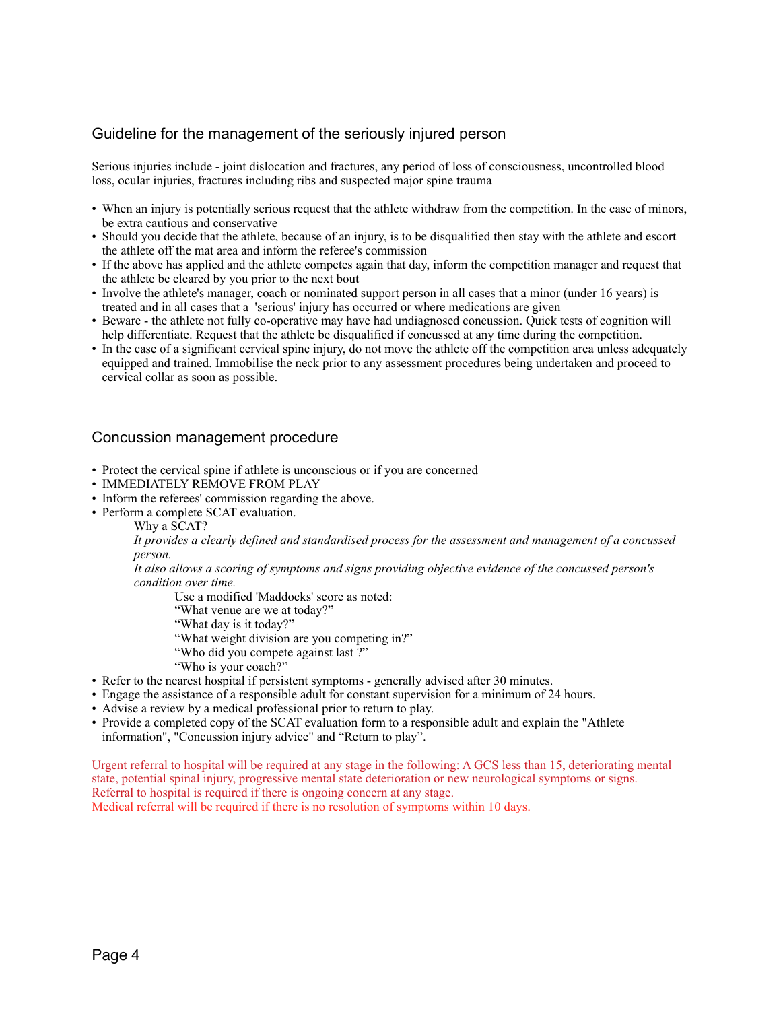# Guideline for the management of the seriously injured person

Serious injuries include - joint dislocation and fractures, any period of loss of consciousness, uncontrolled blood loss, ocular injuries, fractures including ribs and suspected major spine trauma

- When an injury is potentially serious request that the athlete withdraw from the competition. In the case of minors, be extra cautious and conservative
- Should you decide that the athlete, because of an injury, is to be disqualified then stay with the athlete and escort the athlete off the mat area and inform the referee's commission
- If the above has applied and the athlete competes again that day, inform the competition manager and request that the athlete be cleared by you prior to the next bout
- Involve the athlete's manager, coach or nominated support person in all cases that a minor (under 16 years) is treated and in all cases that a 'serious' injury has occurred or where medications are given
- Beware the athlete not fully co-operative may have had undiagnosed concussion. Quick tests of cognition will help differentiate. Request that the athlete be disqualified if concussed at any time during the competition.
- In the case of a significant cervical spine injury, do not move the athlete off the competition area unless adequately equipped and trained. Immobilise the neck prior to any assessment procedures being undertaken and proceed to cervical collar as soon as possible.

## Concussion management procedure

- Protect the cervical spine if athlete is unconscious or if you are concerned
- IMMEDIATELY REMOVE FROM PLAY
- Inform the referees' commission regarding the above.
- Perform a complete SCAT evaluation.
	- Why a SCAT?

*It provides a clearly defined and standardised process for the assessment and management of a concussed person.*

*It also allows a scoring of symptoms and signs providing objective evidence of the concussed person's condition over time.*

Use a modified 'Maddocks' score as noted:

- "What venue are we at today?"
- "What day is it today?"
- "What weight division are you competing in?"
- "Who did you compete against last ?"
- "Who is your coach?"
- Refer to the nearest hospital if persistent symptoms generally advised after 30 minutes.
- Engage the assistance of a responsible adult for constant supervision for a minimum of 24 hours.
- Advise a review by a medical professional prior to return to play.
- Provide a completed copy of the SCAT evaluation form to a responsible adult and explain the "Athlete information", "Concussion injury advice" and "Return to play".

Urgent referral to hospital will be required at any stage in the following: A GCS less than 15, deteriorating mental state, potential spinal injury, progressive mental state deterioration or new neurological symptoms or signs. Referral to hospital is required if there is ongoing concern at any stage. Medical referral will be required if there is no resolution of symptoms within 10 days.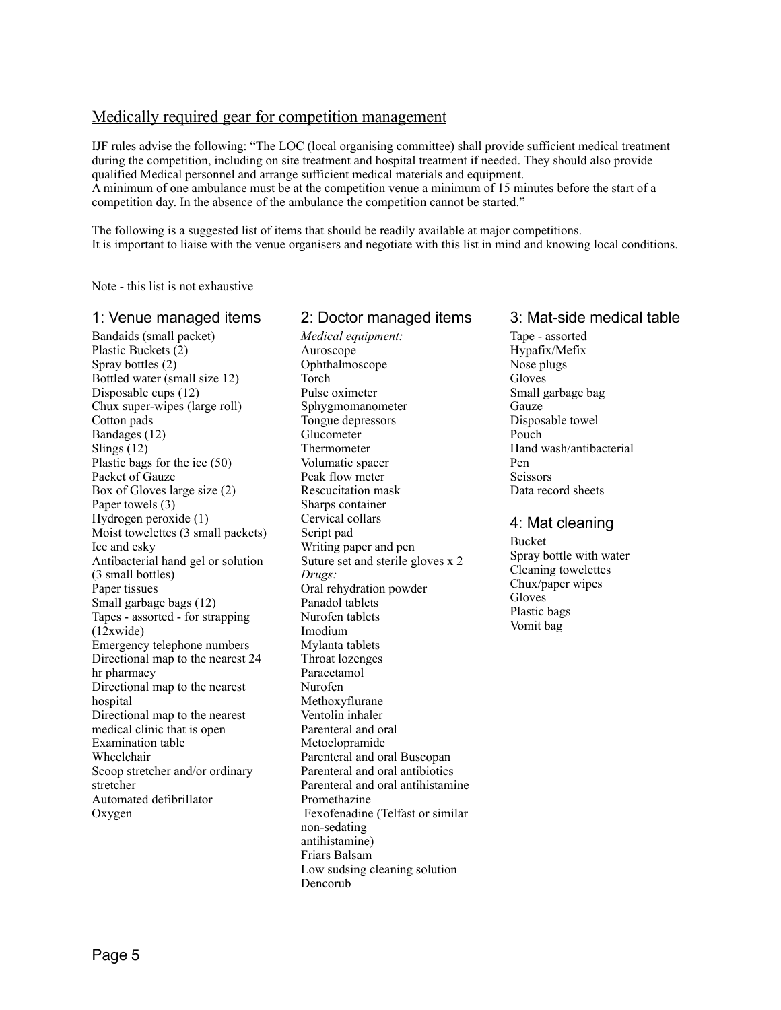# Medically required gear for competition management

IJF rules advise the following: "The LOC (local organising committee) shall provide sufficient medical treatment during the competition, including on site treatment and hospital treatment if needed. They should also provide qualified Medical personnel and arrange sufficient medical materials and equipment. A minimum of one ambulance must be at the competition venue a minimum of 15 minutes before the start of a competition day. In the absence of the ambulance the competition cannot be started."

The following is a suggested list of items that should be readily available at major competitions. It is important to liaise with the venue organisers and negotiate with this list in mind and knowing local conditions.

2: Doctor managed items

Note - this list is not exhaustive

#### 1: Venue managed items

Bandaids (small packet) Plastic Buckets (2) Spray bottles (2) Bottled water (small size 12) Disposable cups (12) Chux super-wipes (large roll) Cotton pads Bandages (12) Slings (12) Plastic bags for the ice (50) Packet of Gauze Box of Gloves large size (2) Paper towels (3) Hydrogen peroxide (1) Moist towelettes (3 small packets) Ice and esky Antibacterial hand gel or solution (3 small bottles) Paper tissues Small garbage bags (12) Tapes - assorted - for strapping (12xwide) Emergency telephone numbers Directional map to the nearest 24 hr pharmacy Directional map to the nearest hospital Directional map to the nearest medical clinic that is open Examination table Wheelchair Scoop stretcher and/or ordinary stretcher Automated defibrillator Oxygen

#### *Medical equipment:* Auroscope Ophthalmoscope Torch Pulse oximeter Sphygmomanometer Tongue depressors Glucometer Thermometer Volumatic spacer Peak flow meter Rescucitation mask Sharps container Cervical collars Script pad Writing paper and pen Suture set and sterile gloves x 2 *Drugs:* Oral rehydration powder Panadol tablets Nurofen tablets Imodium Mylanta tablets Throat lozenges Paracetamol Nurofen Methoxyflurane Ventolin inhaler Parenteral and oral Metoclopramide Parenteral and oral Buscopan Parenteral and oral antibiotics Parenteral and oral antihistamine – Promethazine Fexofenadine (Telfast or similar non-sedating antihistamine) Friars Balsam Low sudsing cleaning solution Dencorub

## 3: Mat-side medical table

Tape - assorted Hypafix/Mefix Nose plugs Gloves Small garbage bag **Gauze** Disposable towel Pouch Hand wash/antibacterial Pen **Scissors** Data record sheets

## 4: Mat cleaning

Bucket Spray bottle with water Cleaning towelettes Chux/paper wipes Gloves Plastic bags Vomit bag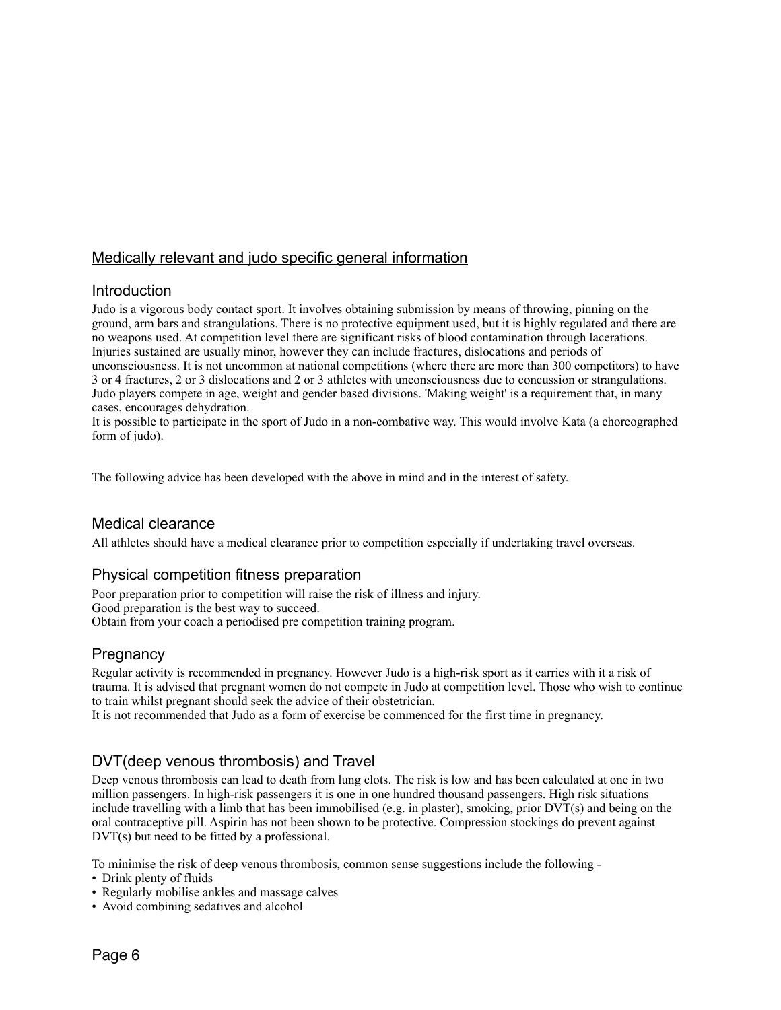# Medically relevant and judo specific general information

## Introduction

Judo is a vigorous body contact sport. It involves obtaining submission by means of throwing, pinning on the ground, arm bars and strangulations. There is no protective equipment used, but it is highly regulated and there are no weapons used. At competition level there are significant risks of blood contamination through lacerations. Injuries sustained are usually minor, however they can include fractures, dislocations and periods of unconsciousness. It is not uncommon at national competitions (where there are more than 300 competitors) to have 3 or 4 fractures, 2 or 3 dislocations and 2 or 3 athletes with unconsciousness due to concussion or strangulations. Judo players compete in age, weight and gender based divisions. 'Making weight' is a requirement that, in many cases, encourages dehydration.

It is possible to participate in the sport of Judo in a non-combative way. This would involve Kata (a choreographed form of judo).

The following advice has been developed with the above in mind and in the interest of safety.

## Medical clearance

All athletes should have a medical clearance prior to competition especially if undertaking travel overseas.

## Physical competition fitness preparation

Poor preparation prior to competition will raise the risk of illness and injury. Good preparation is the best way to succeed. Obtain from your coach a periodised pre competition training program.

## **Pregnancy**

Regular activity is recommended in pregnancy. However Judo is a high-risk sport as it carries with it a risk of trauma. It is advised that pregnant women do not compete in Judo at competition level. Those who wish to continue to train whilst pregnant should seek the advice of their obstetrician.

It is not recommended that Judo as a form of exercise be commenced for the first time in pregnancy.

# DVT(deep venous thrombosis) and Travel

Deep venous thrombosis can lead to death from lung clots. The risk is low and has been calculated at one in two million passengers. In high-risk passengers it is one in one hundred thousand passengers. High risk situations include travelling with a limb that has been immobilised (e.g. in plaster), smoking, prior DVT(s) and being on the oral contraceptive pill. Aspirin has not been shown to be protective. Compression stockings do prevent against DVT(s) but need to be fitted by a professional.

To minimise the risk of deep venous thrombosis, common sense suggestions include the following -

- Drink plenty of fluids
- Regularly mobilise ankles and massage calves
- Avoid combining sedatives and alcohol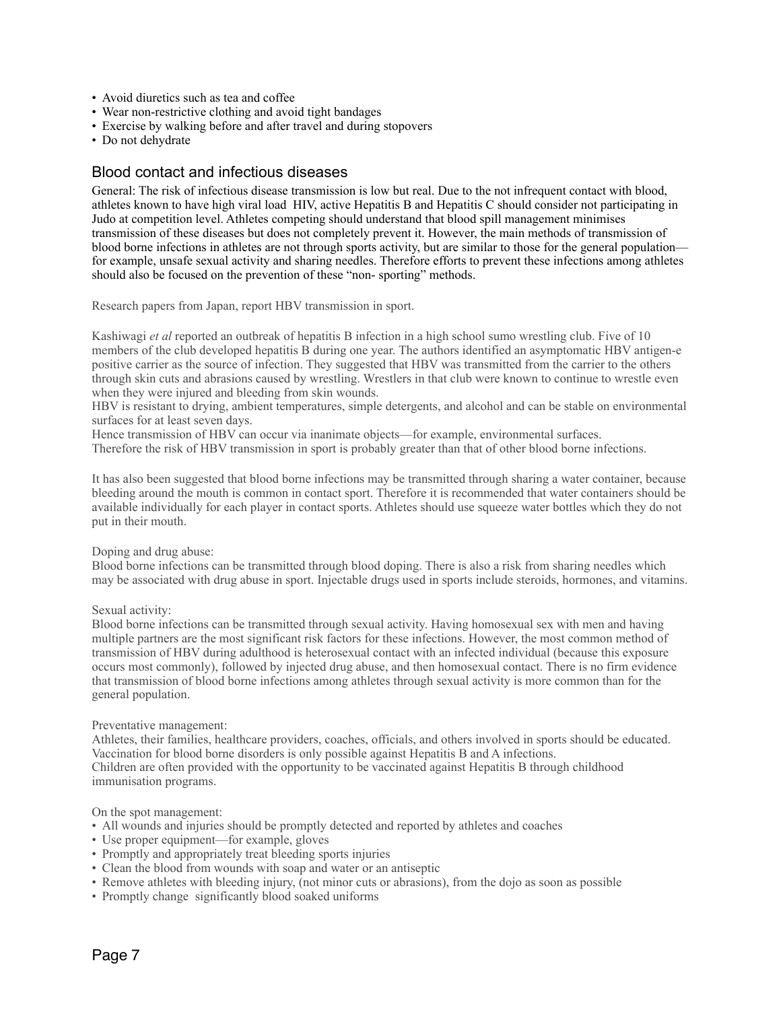- Avoid diuretics such as tea and coffee
- Wear non-restrictive clothing and avoid tight bandages
- Exercise by walking before and after travel and during stopovers
- Do not dehydrate

## Blood contact and infectious diseases

General: The risk of infectious disease transmission is low but real. Due to the not infrequent contact with blood, athletes known to have high viral load HIV, active Hepatitis B and Hepatitis C should consider not participating in Judo at competition level. Athletes competing should understand that blood spill management minimises transmission of these diseases but does not completely prevent it. However, the main methods of transmission of blood borne infections in athletes are not through sports activity, but are similar to those for the general population for example, unsafe sexual activity and sharing needles. Therefore efforts to prevent these infections among athletes should also be focused on the prevention of these "non- sporting" methods.

Research papers from Japan, report HBV transmission in sport.

Kashiwagi *et al* reported an outbreak of hepatitis B infection in a high school sumo wrestling club. Five of 10 members of the club developed hepatitis B during one year. The authors identified an asymptomatic HBV antigen-e positive carrier as the source of infection. They suggested that HBV was transmitted from the carrier to the others through skin cuts and abrasions caused by wrestling. Wrestlers in that club were known to continue to wrestle even when they were injured and bleeding from skin wounds.

HBV is resistant to drying, ambient temperatures, simple detergents, and alcohol and can be stable on environmental surfaces for at least seven days.

Hence transmission of HBV can occur via inanimate objects—for example, environmental surfaces. Therefore the risk of HBV transmission in sport is probably greater than that of other blood borne infections.

It has also been suggested that blood borne infections may be transmitted through sharing a water container, because bleeding around the mouth is common in contact sport. Therefore it is recommended that water containers should be available individually for each player in contact sports. Athletes should use squeeze water bottles which they do not put in their mouth.

#### Doping and drug abuse:

Blood borne infections can be transmitted through blood doping. There is also a risk from sharing needles which may be associated with drug abuse in sport. Injectable drugs used in sports include steroids, hormones, and vitamins.

#### Sexual activity:

Blood borne infections can be transmitted through sexual activity. Having homosexual sex with men and having multiple partners are the most significant risk factors for these infections. However, the most common method of transmission of HBV during adulthood is heterosexual contact with an infected individual (because this exposure occurs most commonly), followed by injected drug abuse, and then homosexual contact. There is no firm evidence that transmission of blood borne infections among athletes through sexual activity is more common than for the general population.

#### Preventative management:

Athletes, their families, healthcare providers, coaches, officials, and others involved in sports should be educated. Vaccination for blood borne disorders is only possible against Hepatitis B and A infections. Children are often provided with the opportunity to be vaccinated against Hepatitis B through childhood immunisation programs.

#### On the spot management:

- All wounds and injuries should be promptly detected and reported by athletes and coaches
- Use proper equipment—for example, gloves
- Promptly and appropriately treat bleeding sports injuries
- Clean the blood from wounds with soap and water or an antiseptic
- Remove athletes with bleeding injury, (not minor cuts or abrasions), from the dojo as soon as possible
- Promptly change significantly blood soaked uniforms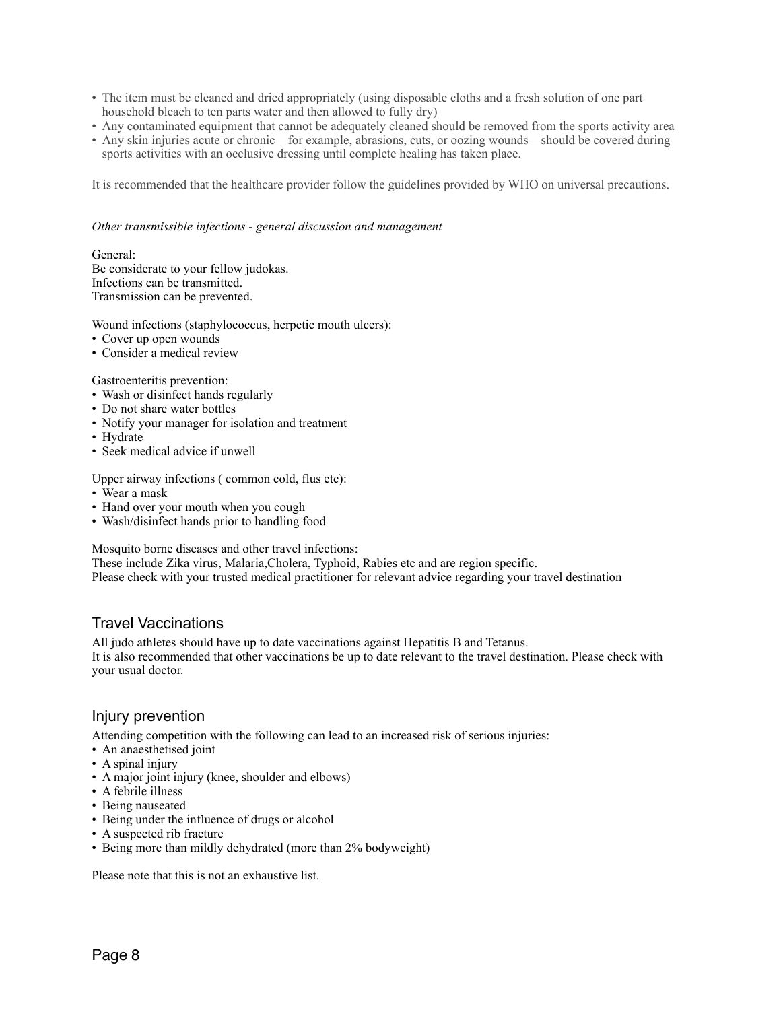- The item must be cleaned and dried appropriately (using disposable cloths and a fresh solution of one part household bleach to ten parts water and then allowed to fully dry)
- Any contaminated equipment that cannot be adequately cleaned should be removed from the sports activity area
- Any skin injuries acute or chronic—for example, abrasions, cuts, or oozing wounds—should be covered during sports activities with an occlusive dressing until complete healing has taken place.

It is recommended that the healthcare provider follow the guidelines provided by WHO on universal precautions.

#### *Other transmissible infections - general discussion and management*

General: Be considerate to your fellow judokas. Infections can be transmitted. Transmission can be prevented.

Wound infections (staphylococcus, herpetic mouth ulcers):

- Cover up open wounds
- Consider a medical review

#### Gastroenteritis prevention:

- Wash or disinfect hands regularly
- Do not share water bottles
- Notify your manager for isolation and treatment
- Hydrate
- Seek medical advice if unwell

Upper airway infections ( common cold, flus etc):

- Wear a mask
- Hand over your mouth when you cough
- Wash/disinfect hands prior to handling food

Mosquito borne diseases and other travel infections:

These include Zika virus, Malaria,Cholera, Typhoid, Rabies etc and are region specific.

Please check with your trusted medical practitioner for relevant advice regarding your travel destination

## Travel Vaccinations

All judo athletes should have up to date vaccinations against Hepatitis B and Tetanus.

It is also recommended that other vaccinations be up to date relevant to the travel destination. Please check with your usual doctor.

## Injury prevention

Attending competition with the following can lead to an increased risk of serious injuries:

- An anaesthetised joint
- A spinal injury
- A major joint injury (knee, shoulder and elbows)
- A febrile illness
- Being nauseated
- Being under the influence of drugs or alcohol
- A suspected rib fracture
- Being more than mildly dehydrated (more than 2% bodyweight)

Please note that this is not an exhaustive list.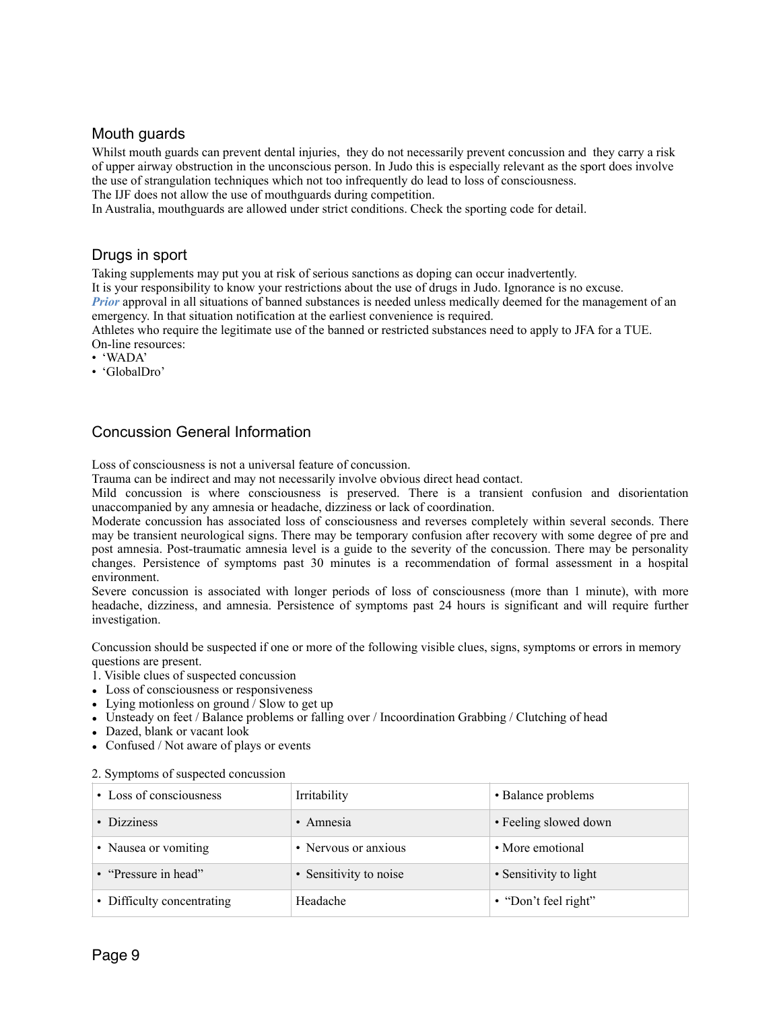## Mouth guards

Whilst mouth guards can prevent dental injuries, they do not necessarily prevent concussion and they carry a risk of upper airway obstruction in the unconscious person. In Judo this is especially relevant as the sport does involve the use of strangulation techniques which not too infrequently do lead to loss of consciousness.

The IJF does not allow the use of mouthguards during competition.

In Australia, mouthguards are allowed under strict conditions. Check the sporting code for detail.

## Drugs in sport

Taking supplements may put you at risk of serious sanctions as doping can occur inadvertently.

It is your responsibility to know your restrictions about the use of drugs in Judo. Ignorance is no excuse.

*Prior* approval in all situations of banned substances is needed unless medically deemed for the management of an emergency. In that situation notification at the earliest convenience is required.

Athletes who require the legitimate use of the banned or restricted substances need to apply to JFA for a TUE. On-line resources:

- 'WADA'
- 'GlobalDro'

# Concussion General Information

Loss of consciousness is not a universal feature of concussion.

Trauma can be indirect and may not necessarily involve obvious direct head contact.

Mild concussion is where consciousness is preserved. There is a transient confusion and disorientation unaccompanied by any amnesia or headache, dizziness or lack of coordination.

Moderate concussion has associated loss of consciousness and reverses completely within several seconds. There may be transient neurological signs. There may be temporary confusion after recovery with some degree of pre and post amnesia. Post-traumatic amnesia level is a guide to the severity of the concussion. There may be personality changes. Persistence of symptoms past 30 minutes is a recommendation of formal assessment in a hospital environment.

Severe concussion is associated with longer periods of loss of consciousness (more than 1 minute), with more headache, dizziness, and amnesia. Persistence of symptoms past 24 hours is significant and will require further investigation.

Concussion should be suspected if one or more of the following visible clues, signs, symptoms or errors in memory questions are present.

- 1. Visible clues of suspected concussion
- Loss of consciousness or responsiveness
- Lying motionless on ground / Slow to get up
- Unsteady on feet / Balance problems or falling over / Incoordination Grabbing / Clutching of head
- Dazed, blank or vacant look
- Confused / Not aware of plays or events

#### 2. Symptoms of suspected concussion

| • Loss of consciousness    | Irritability           | • Balance problems     |  |
|----------------------------|------------------------|------------------------|--|
| • Dizziness                | • Amnesia              | • Feeling slowed down  |  |
| • Nausea or vomiting       | • Nervous or anxious   | • More emotional       |  |
| • "Pressure in head"       | • Sensitivity to noise | • Sensitivity to light |  |
| • Difficulty concentrating | Headache               | • "Don't feel right"   |  |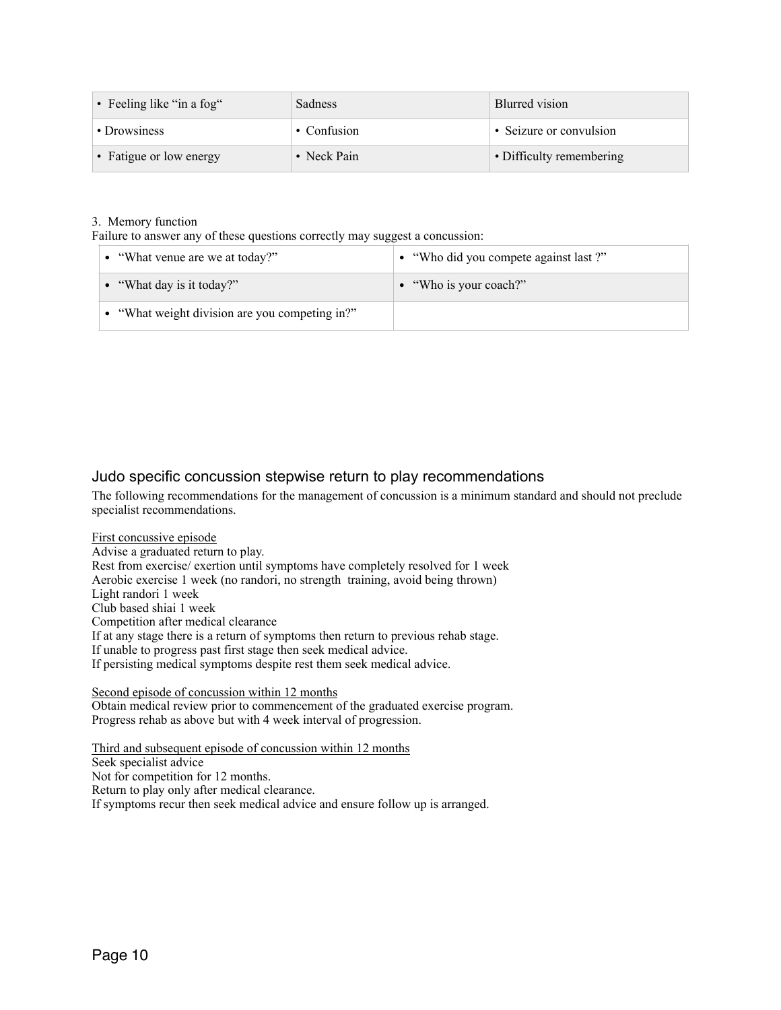| • Feeling like "in a fog" | <b>Sadness</b>    | Blurred vision           |  |
|---------------------------|-------------------|--------------------------|--|
| • Drowsiness              | $\cdot$ Confusion | • Seizure or convulsion  |  |
| • Fatigue or low energy   | • Neck Pain       | • Difficulty remembering |  |

## 3. Memory function

Failure to answer any of these questions correctly may suggest a concussion:

| • "What venue are we at today?"                | • "Who did you compete against last?" |
|------------------------------------------------|---------------------------------------|
| • "What day is it today?"                      | • "Who is your coach?"                |
| • "What weight division are you competing in?" |                                       |

# Judo specific concussion stepwise return to play recommendations

The following recommendations for the management of concussion is a minimum standard and should not preclude specialist recommendations.

First concussive episode Advise a graduated return to play. Rest from exercise/ exertion until symptoms have completely resolved for 1 week Aerobic exercise 1 week (no randori, no strength training, avoid being thrown) Light randori 1 week Club based shiai 1 week Competition after medical clearance If at any stage there is a return of symptoms then return to previous rehab stage. If unable to progress past first stage then seek medical advice. If persisting medical symptoms despite rest them seek medical advice.

Second episode of concussion within 12 months Obtain medical review prior to commencement of the graduated exercise program. Progress rehab as above but with 4 week interval of progression.

Third and subsequent episode of concussion within 12 months Seek specialist advice Not for competition for 12 months. Return to play only after medical clearance. If symptoms recur then seek medical advice and ensure follow up is arranged.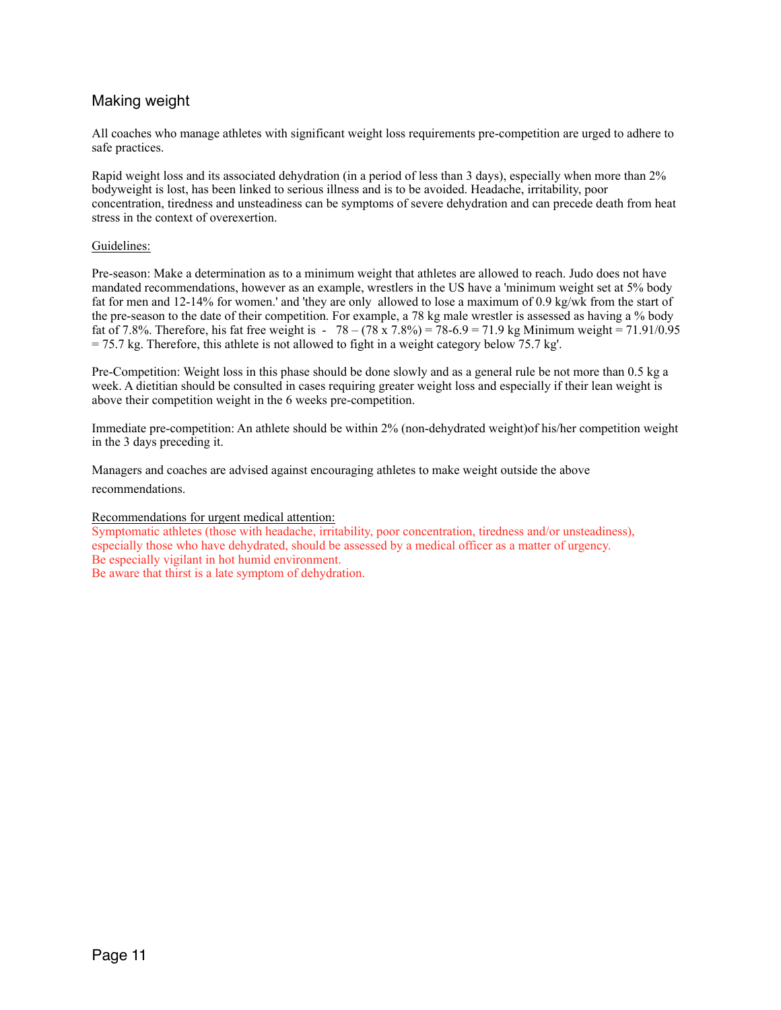# Making weight

All coaches who manage athletes with significant weight loss requirements pre-competition are urged to adhere to safe practices.

Rapid weight loss and its associated dehydration (in a period of less than 3 days), especially when more than 2% bodyweight is lost, has been linked to serious illness and is to be avoided. Headache, irritability, poor concentration, tiredness and unsteadiness can be symptoms of severe dehydration and can precede death from heat stress in the context of overexertion.

#### Guidelines:

Pre-season: Make a determination as to a minimum weight that athletes are allowed to reach. Judo does not have mandated recommendations, however as an example, wrestlers in the US have a 'minimum weight set at 5% body fat for men and 12-14% for women.' and 'they are only allowed to lose a maximum of 0.9 kg/wk from the start of the pre-season to the date of their competition. For example, a 78 kg male wrestler is assessed as having a % body fat of 7.8%. Therefore, his fat free weight is -  $78 - (78 \times 7.8\%) = 78 - 6.9 = 71.9$  kg Minimum weight = 71.91/0.95 = 75.7 kg. Therefore, this athlete is not allowed to fight in a weight category below 75.7 kg'.

Pre-Competition: Weight loss in this phase should be done slowly and as a general rule be not more than 0.5 kg a week. A dietitian should be consulted in cases requiring greater weight loss and especially if their lean weight is above their competition weight in the 6 weeks pre-competition.

Immediate pre-competition: An athlete should be within 2% (non-dehydrated weight)of his/her competition weight in the 3 days preceding it.

Managers and coaches are advised against encouraging athletes to make weight outside the above recommendations.

Recommendations for urgent medical attention:

Symptomatic athletes (those with headache, irritability, poor concentration, tiredness and/or unsteadiness), especially those who have dehydrated, should be assessed by a medical officer as a matter of urgency. Be especially vigilant in hot humid environment. Be aware that thirst is a late symptom of dehydration.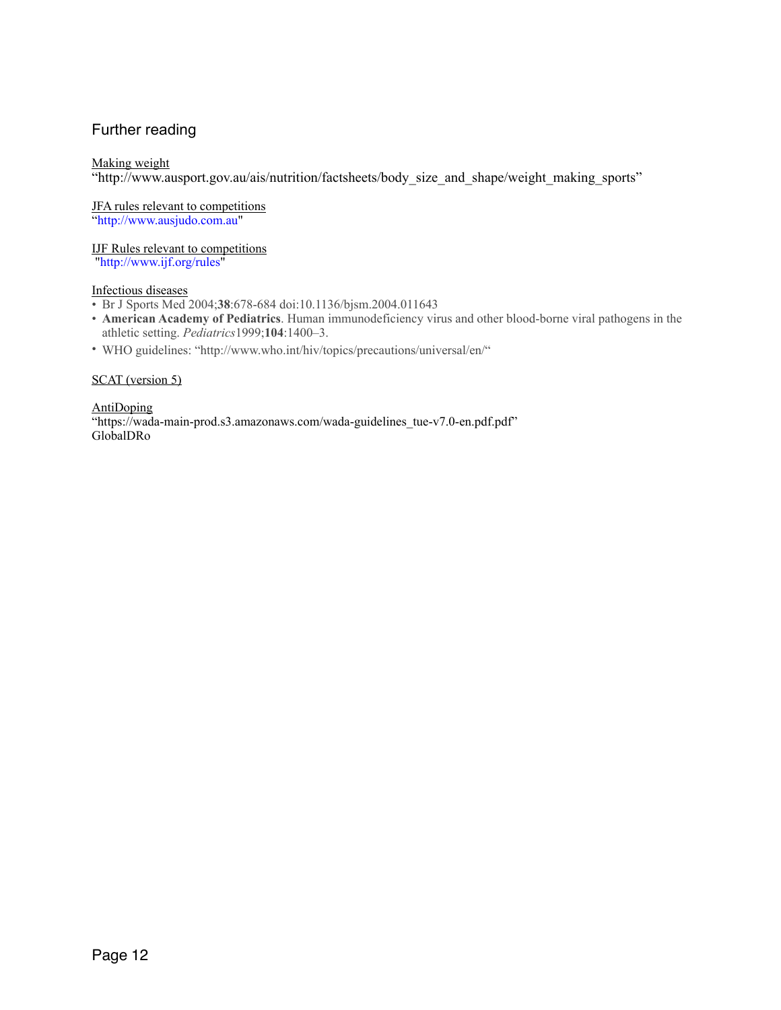# Further reading

## Making weight

"http://www.ausport.gov.au/ais/nutrition/factsheets/body\_size\_and\_shape/weight\_making\_sports"

JFA rules relevant to competitions "http://www.ausjudo.com.au"

IJF Rules relevant to competitions "http://www.ijf.org/rules"

## Infectious diseases

- Br J Sports Med 2004;**38**:678-684 doi:10.1136/bjsm.2004.011643
- **American Academy of Pediatrics**. Human immunodeficiency virus and other blood-borne viral pathogens in the athletic setting. *Pediatrics*1999;**104**:1400–3.
- WHO guidelines: "http://www.who.int/hiv/topics/precautions/universal/en/"

#### SCAT (version 5)

AntiDoping "https://wada-main-prod.s3.amazonaws.com/wada-guidelines\_tue-v7.0-en.pdf.pdf" GlobalDRo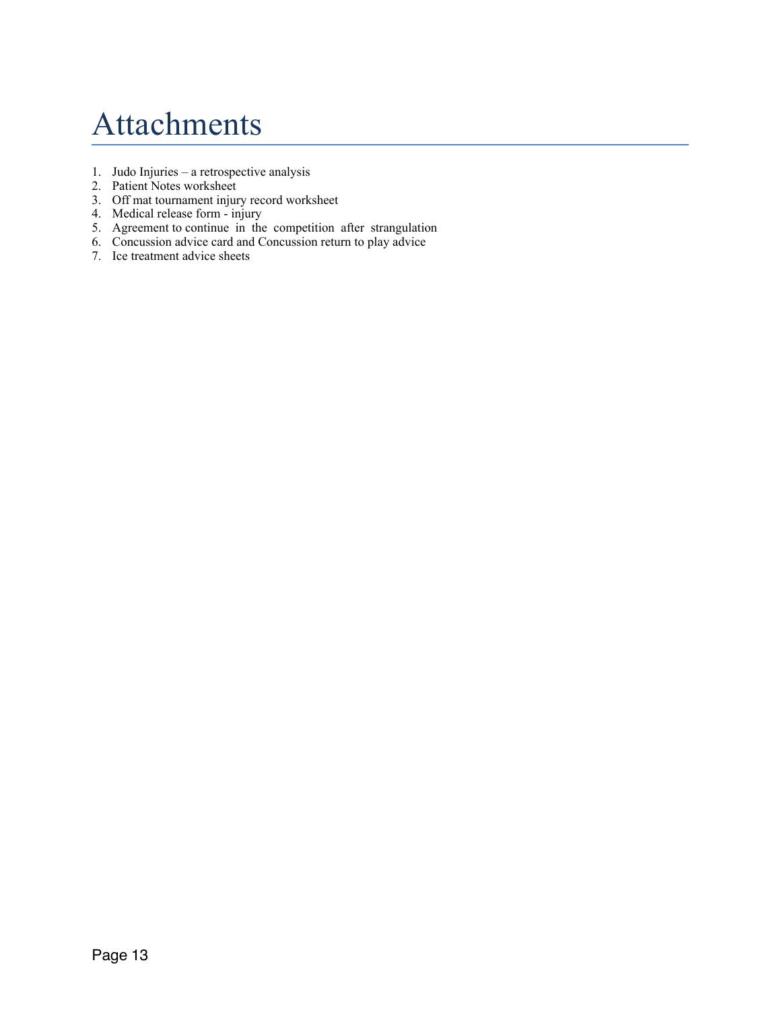# Attachments

- 1. Judo Injuries a retrospective analysis
- 2. Patient Notes worksheet
- 3. Off mat tournament injury record worksheet
- 4. Medical release form injury
- 5. Agreement to continue in the competition after strangulation
- 6. Concussion advice card and Concussion return to play advice
- 7. Ice treatment advice sheets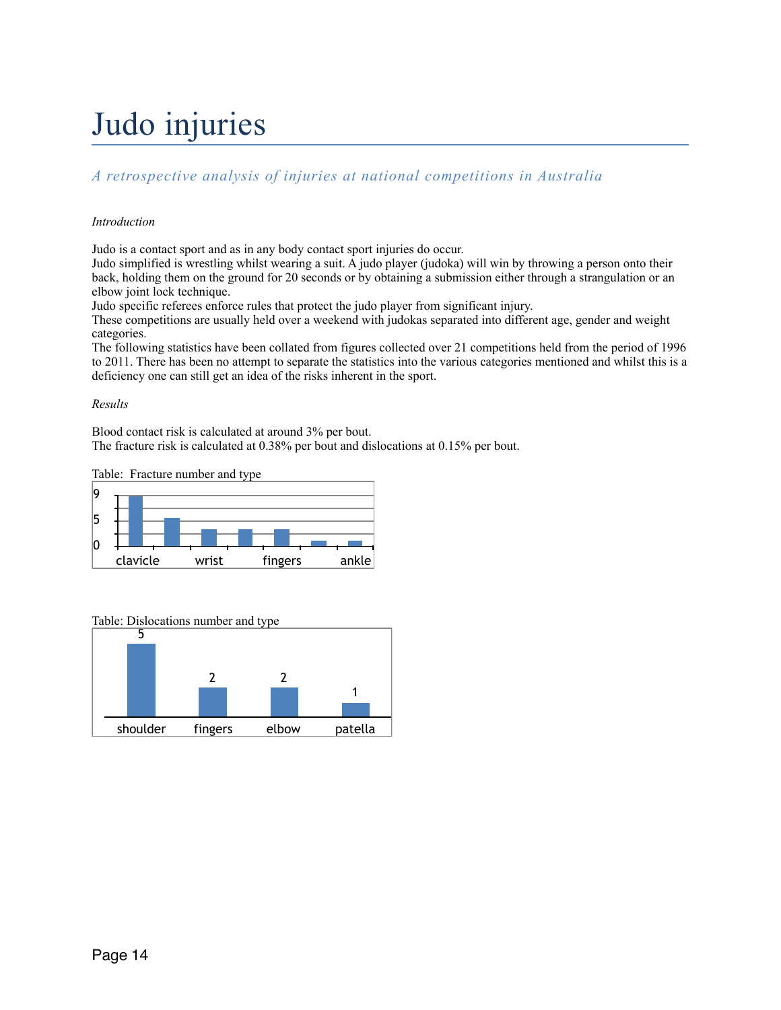# Judo injuries

# *A retrospective analysis of injuries at national competitions in Australia*

## *Introduction*

Judo is a contact sport and as in any body contact sport injuries do occur.

Judo simplified is wrestling whilst wearing a suit. A judo player (judoka) will win by throwing a person onto their back, holding them on the ground for 20 seconds or by obtaining a submission either through a strangulation or an elbow joint lock technique.

Judo specific referees enforce rules that protect the judo player from significant injury.

These competitions are usually held over a weekend with judokas separated into different age, gender and weight categories.

The following statistics have been collated from figures collected over 21 competitions held from the period of 1996 to 2011. There has been no attempt to separate the statistics into the various categories mentioned and whilst this is a deficiency one can still get an idea of the risks inherent in the sport.

## *Results*

Blood contact risk is calculated at around 3% per bout.

The fracture risk is calculated at 0.38% per bout and dislocations at 0.15% per bout.

Table: Fracture number and type



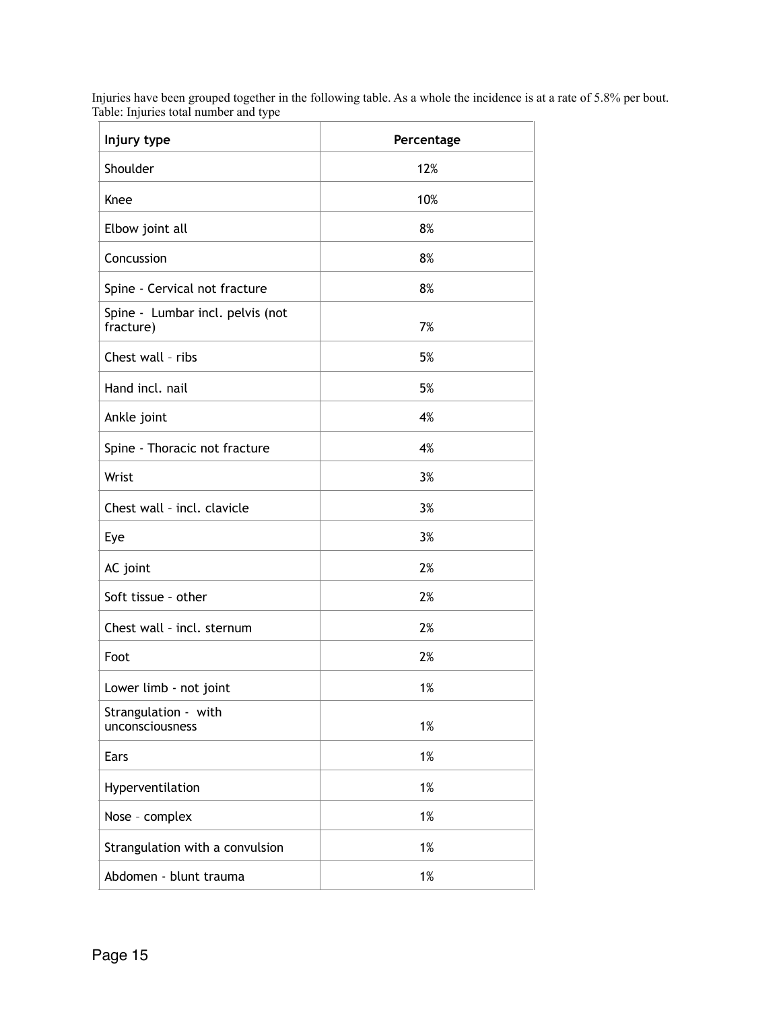Injuries have been grouped together in the following table. As a whole the incidence is at a rate of 5.8% per bout. Table: Injuries total number and type

| Injury type                                   | Percentage |
|-----------------------------------------------|------------|
| Shoulder                                      | 12%        |
| Knee                                          | 10%        |
| Elbow joint all                               | 8%         |
| Concussion                                    | 8%         |
| Spine - Cervical not fracture                 | 8%         |
| Spine - Lumbar incl. pelvis (not<br>fracture) | 7%         |
| Chest wall - ribs                             | 5%         |
| Hand incl. nail                               | 5%         |
| Ankle joint                                   | 4%         |
| Spine - Thoracic not fracture                 | 4%         |
| Wrist                                         | 3%         |
| Chest wall - incl. clavicle                   | 3%         |
| Eye                                           | 3%         |
| AC joint                                      | 2%         |
| Soft tissue - other                           | 2%         |
| Chest wall - incl. sternum                    | 2%         |
| Foot                                          | 2%         |
| Lower limb - not joint                        | 1%         |
| Strangulation - with<br>unconsciousness       | 1%         |
| Ears                                          | 1%         |
| Hyperventilation                              | 1%         |
| Nose - complex                                | 1%         |
| Strangulation with a convulsion               | 1%         |
| Abdomen - blunt trauma                        | 1%         |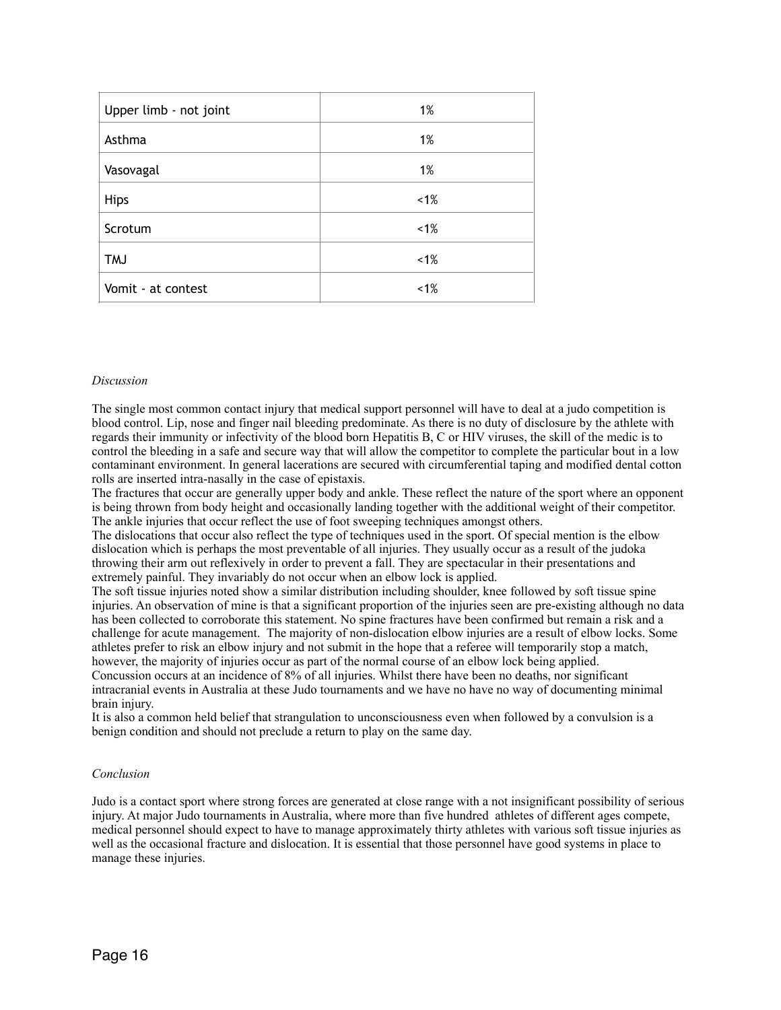| Upper limb - not joint | 1%      |
|------------------------|---------|
| Asthma                 | 1%      |
| Vasovagal              | 1%      |
| <b>Hips</b>            | $~1\%$  |
| Scrotum                | $< 1\%$ |
| <b>TMJ</b>             | $< 1\%$ |
| Vomit - at contest     | $~1\%$  |

#### *Discussion*

The single most common contact injury that medical support personnel will have to deal at a judo competition is blood control. Lip, nose and finger nail bleeding predominate. As there is no duty of disclosure by the athlete with regards their immunity or infectivity of the blood born Hepatitis B, C or HIV viruses, the skill of the medic is to control the bleeding in a safe and secure way that will allow the competitor to complete the particular bout in a low contaminant environment. In general lacerations are secured with circumferential taping and modified dental cotton rolls are inserted intra-nasally in the case of epistaxis.

The fractures that occur are generally upper body and ankle. These reflect the nature of the sport where an opponent is being thrown from body height and occasionally landing together with the additional weight of their competitor. The ankle injuries that occur reflect the use of foot sweeping techniques amongst others.

The dislocations that occur also reflect the type of techniques used in the sport. Of special mention is the elbow dislocation which is perhaps the most preventable of all injuries. They usually occur as a result of the judoka throwing their arm out reflexively in order to prevent a fall. They are spectacular in their presentations and extremely painful. They invariably do not occur when an elbow lock is applied.

The soft tissue injuries noted show a similar distribution including shoulder, knee followed by soft tissue spine injuries. An observation of mine is that a significant proportion of the injuries seen are pre-existing although no data has been collected to corroborate this statement. No spine fractures have been confirmed but remain a risk and a challenge for acute management. The majority of non-dislocation elbow injuries are a result of elbow locks. Some athletes prefer to risk an elbow injury and not submit in the hope that a referee will temporarily stop a match, however, the majority of injuries occur as part of the normal course of an elbow lock being applied. Concussion occurs at an incidence of 8% of all injuries. Whilst there have been no deaths, nor significant intracranial events in Australia at these Judo tournaments and we have no have no way of documenting minimal brain injury.

It is also a common held belief that strangulation to unconsciousness even when followed by a convulsion is a benign condition and should not preclude a return to play on the same day.

#### *Conclusion*

Judo is a contact sport where strong forces are generated at close range with a not insignificant possibility of serious injury. At major Judo tournaments in Australia, where more than five hundred athletes of different ages compete, medical personnel should expect to have to manage approximately thirty athletes with various soft tissue injuries as well as the occasional fracture and dislocation. It is essential that those personnel have good systems in place to manage these injuries.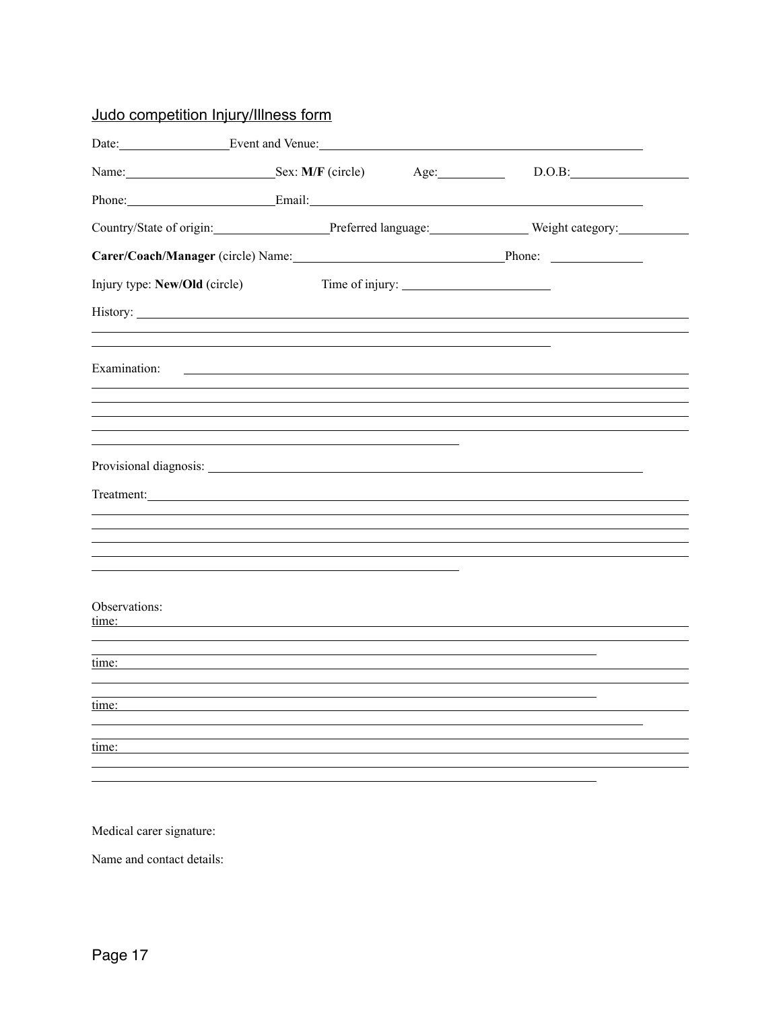# Judo competition Injury/Illness form

| Date: Event and Venue:                                        |      |                 |            |
|---------------------------------------------------------------|------|-----------------|------------|
| Name: Sex: M/F (circle)                                       | Age: |                 | $D.O.B:\_$ |
|                                                               |      |                 |            |
| Country/State of origin: Preferred language: Weight category: |      |                 |            |
| Carer/Coach/Manager (circle) Name: Phone: Phone: Phone: 2014  |      |                 |            |
| Injury type: New/Old (circle)                                 |      | Time of injury: |            |
|                                                               |      |                 |            |
|                                                               |      |                 |            |
| Examination:                                                  |      |                 |            |
|                                                               |      |                 |            |
|                                                               |      |                 |            |
|                                                               |      |                 |            |
|                                                               |      |                 |            |
|                                                               |      |                 |            |
|                                                               |      |                 |            |
|                                                               |      |                 |            |
|                                                               |      |                 |            |
|                                                               |      |                 |            |
| Observations:<br>time:                                        |      |                 |            |
|                                                               |      |                 |            |
| time:                                                         |      |                 |            |
|                                                               |      |                 |            |
| time:                                                         |      |                 |            |
|                                                               |      |                 |            |
| time:                                                         |      |                 |            |
|                                                               |      |                 |            |

Medical carer signature:

Name and contact details: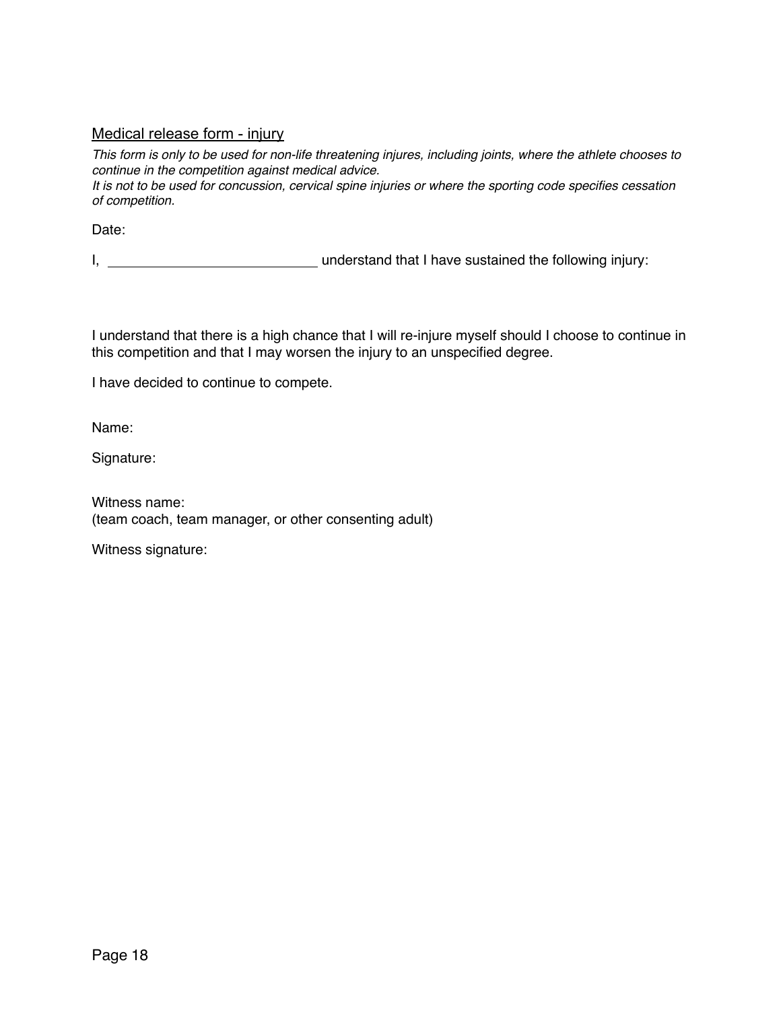# Medical release form - injury

*This form is only to be used for non-life threatening injures, including joints, where the athlete chooses to continue in the competition against medical advice.*

*It is not to be used for concussion, cervical spine injuries or where the sporting code specifies cessation of competition.*

Date:

I, **understand that I have sustained the following injury:** 

I understand that there is a high chance that I will re-injure myself should I choose to continue in this competition and that I may worsen the injury to an unspecified degree.

I have decided to continue to compete.

Name:

Signature:

Witness name: (team coach, team manager, or other consenting adult)

Witness signature: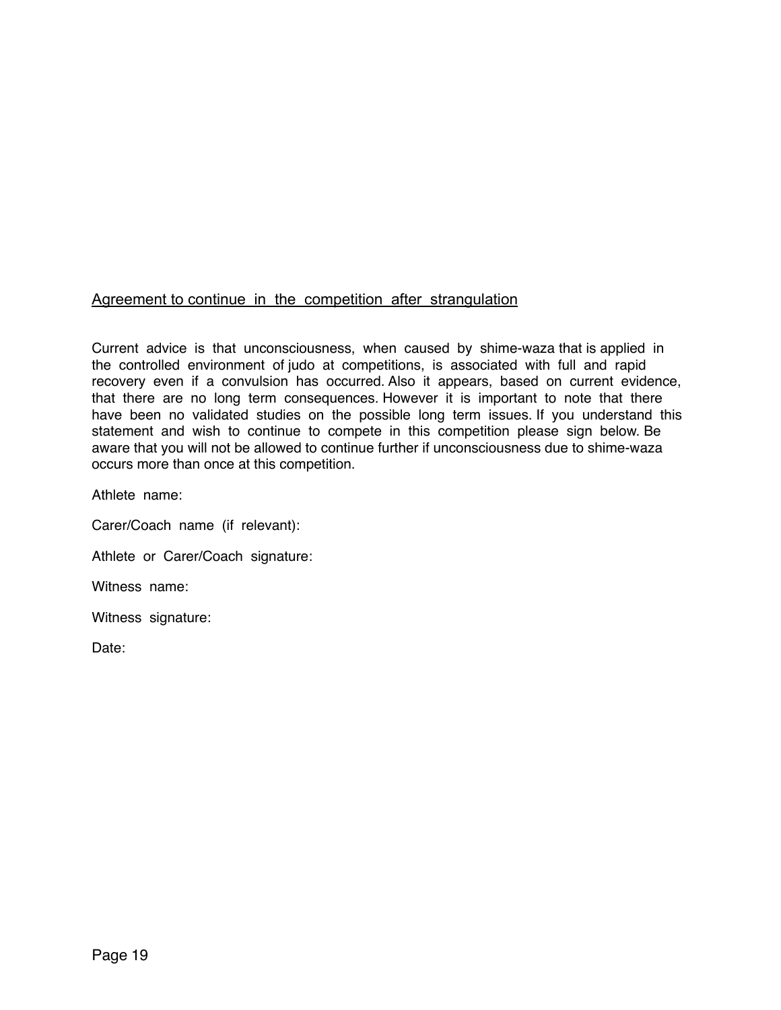# Agreement to continue in the competition after strangulation

Current advice is that unconsciousness, when caused by shime-waza that is applied in the controlled environment of judo at competitions, is associated with full and rapid recovery even if a convulsion has occurred. Also it appears, based on current evidence, that there are no long term consequences. However it is important to note that there have been no validated studies on the possible long term issues. If you understand this statement and wish to continue to compete in this competition please sign below. Be aware that you will not be allowed to continue further if unconsciousness due to shime-waza occurs more than once at this competition.

Athlete name:

Carer/Coach name (if relevant):

Athlete or Carer/Coach signature:

Witness name:

Witness signature:

Date: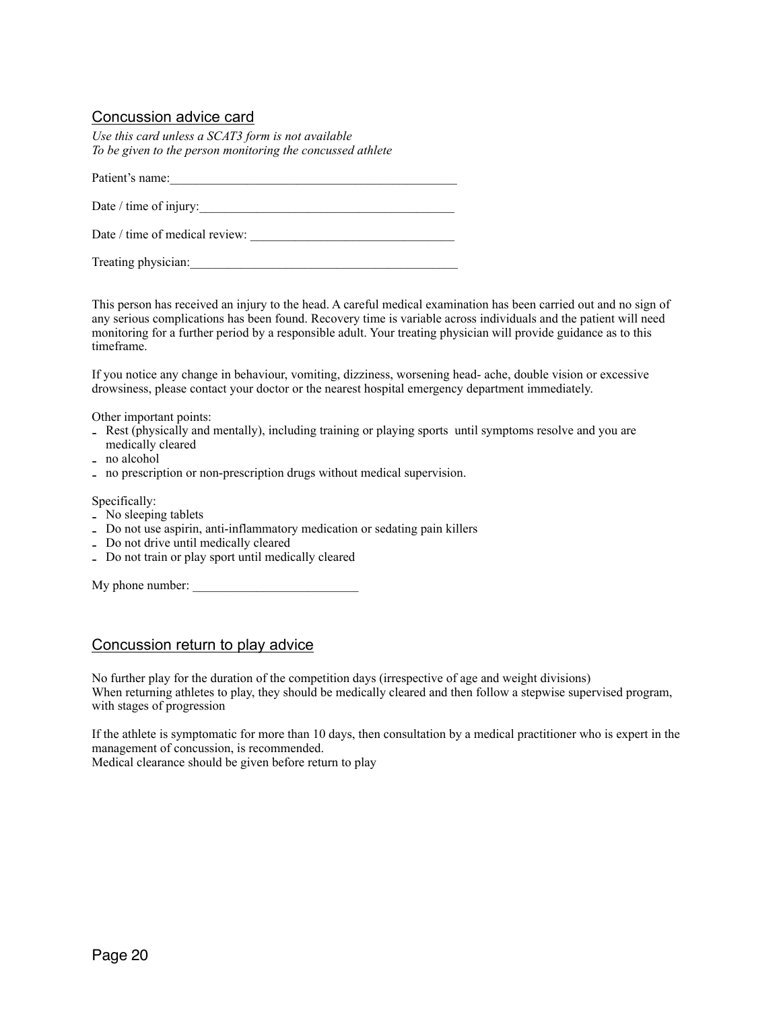# Concussion advice card

*Use this card unless a SCAT3 form is not available To be given to the person monitoring the concussed athlete*

Patient's name:\_\_\_\_\_\_\_\_\_\_\_\_\_\_\_\_\_\_\_\_\_\_\_\_\_\_\_\_\_\_\_\_\_\_\_\_\_\_\_\_\_\_\_\_\_

Date / time of injury:\_\_\_\_\_\_\_\_\_\_\_\_\_\_\_\_\_\_\_\_\_\_\_\_\_\_\_\_\_\_\_\_\_\_\_\_\_\_\_\_

Date / time of medical review:

Treating physician:

This person has received an injury to the head. A careful medical examination has been carried out and no sign of any serious complications has been found. Recovery time is variable across individuals and the patient will need monitoring for a further period by a responsible adult. Your treating physician will provide guidance as to this timeframe.

If you notice any change in behaviour, vomiting, dizziness, worsening head- ache, double vision or excessive drowsiness, please contact your doctor or the nearest hospital emergency department immediately.

Other important points:

- Rest (physically and mentally), including training or playing sports until symptoms resolve and you are medically cleared
- no alcohol
- no prescription or non-prescription drugs without medical supervision.

#### Specifically:

- No sleeping tablets
- Do not use aspirin, anti-inflammatory medication or sedating pain killers
- Do not drive until medically cleared
- Do not train or play sport until medically cleared

| My phone number: |  |
|------------------|--|
|------------------|--|

## Concussion return to play advice

No further play for the duration of the competition days (irrespective of age and weight divisions) When returning athletes to play, they should be medically cleared and then follow a stepwise supervised program, with stages of progression

If the athlete is symptomatic for more than 10 days, then consultation by a medical practitioner who is expert in the management of concussion, is recommended.

Medical clearance should be given before return to play